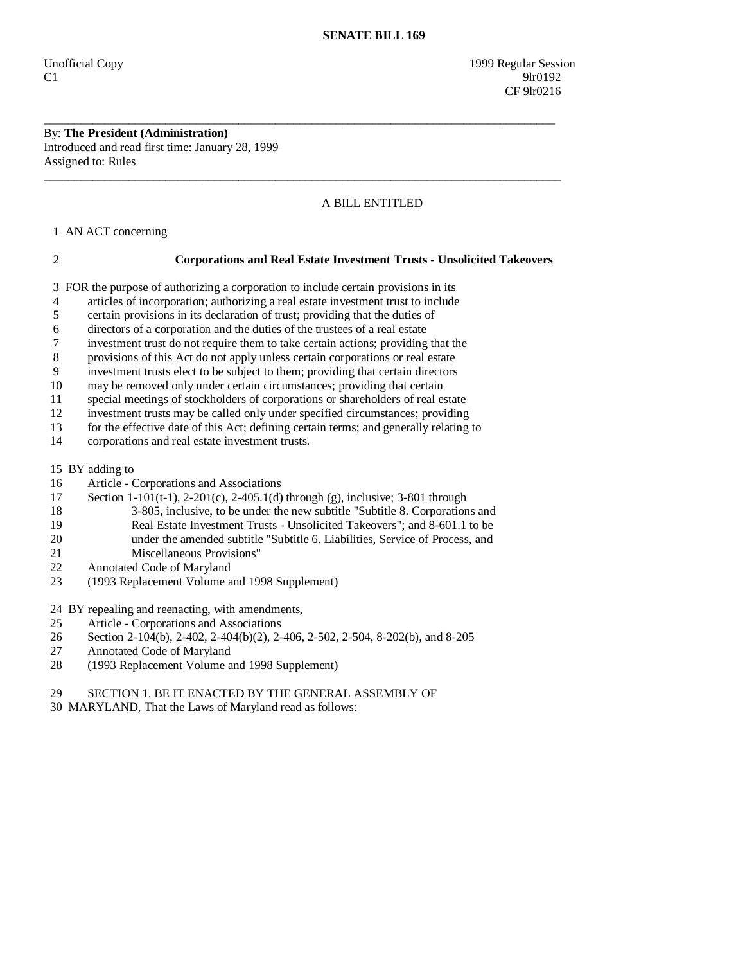Unofficial Copy 1999 Regular Session C1 9lr0192 CF 9lr0216

By: **The President (Administration)**  Introduced and read first time: January 28, 1999 Assigned to: Rules

# A BILL ENTITLED

1 AN ACT concerning

## 2 **Corporations and Real Estate Investment Trusts - Unsolicited Takeovers**

3 FOR the purpose of authorizing a corporation to include certain provisions in its

\_\_\_\_\_\_\_\_\_\_\_\_\_\_\_\_\_\_\_\_\_\_\_\_\_\_\_\_\_\_\_\_\_\_\_\_\_\_\_\_\_\_\_\_\_\_\_\_\_\_\_\_\_\_\_\_\_\_\_\_\_\_\_\_\_\_\_\_\_\_\_\_\_\_\_\_\_\_\_\_\_\_\_\_

\_\_\_\_\_\_\_\_\_\_\_\_\_\_\_\_\_\_\_\_\_\_\_\_\_\_\_\_\_\_\_\_\_\_\_\_\_\_\_\_\_\_\_\_\_\_\_\_\_\_\_\_\_\_\_\_\_\_\_\_\_\_\_\_\_\_\_\_\_\_\_\_\_\_\_\_\_\_\_\_\_\_\_\_\_

4 articles of incorporation; authorizing a real estate investment trust to include

- 5 certain provisions in its declaration of trust; providing that the duties of
- 6 directors of a corporation and the duties of the trustees of a real estate
- 7 investment trust do not require them to take certain actions; providing that the
- 8 provisions of this Act do not apply unless certain corporations or real estate

9 investment trusts elect to be subject to them; providing that certain directors

10 may be removed only under certain circumstances; providing that certain

11 special meetings of stockholders of corporations or shareholders of real estate

12 investment trusts may be called only under specified circumstances; providing

13 for the effective date of this Act; defining certain terms; and generally relating to

14 corporations and real estate investment trusts.

15 BY adding to

- 16 Article Corporations and Associations
- 17 Section 1-101(t-1), 2-201(c), 2-405.1(d) through (g), inclusive; 3-801 through
- 18 3-805, inclusive, to be under the new subtitle "Subtitle 8. Corporations and
- 19 Real Estate Investment Trusts Unsolicited Takeovers"; and 8-601.1 to be
- 20 under the amended subtitle "Subtitle 6. Liabilities, Service of Process, and
- 21 Miscellaneous Provisions"
- 22 Annotated Code of Maryland<br>23 (1993 Replacement Volume a
- 23 (1993 Replacement Volume and 1998 Supplement)

24 BY repealing and reenacting, with amendments,

- 25 Article Corporations and Associations
- 26 Section 2-104(b), 2-402, 2-404(b)(2), 2-406, 2-502, 2-504, 8-202(b), and 8-205
- 27 Annotated Code of Maryland
- 28 (1993 Replacement Volume and 1998 Supplement)

# 29 SECTION 1. BE IT ENACTED BY THE GENERAL ASSEMBLY OF

30 MARYLAND, That the Laws of Maryland read as follows: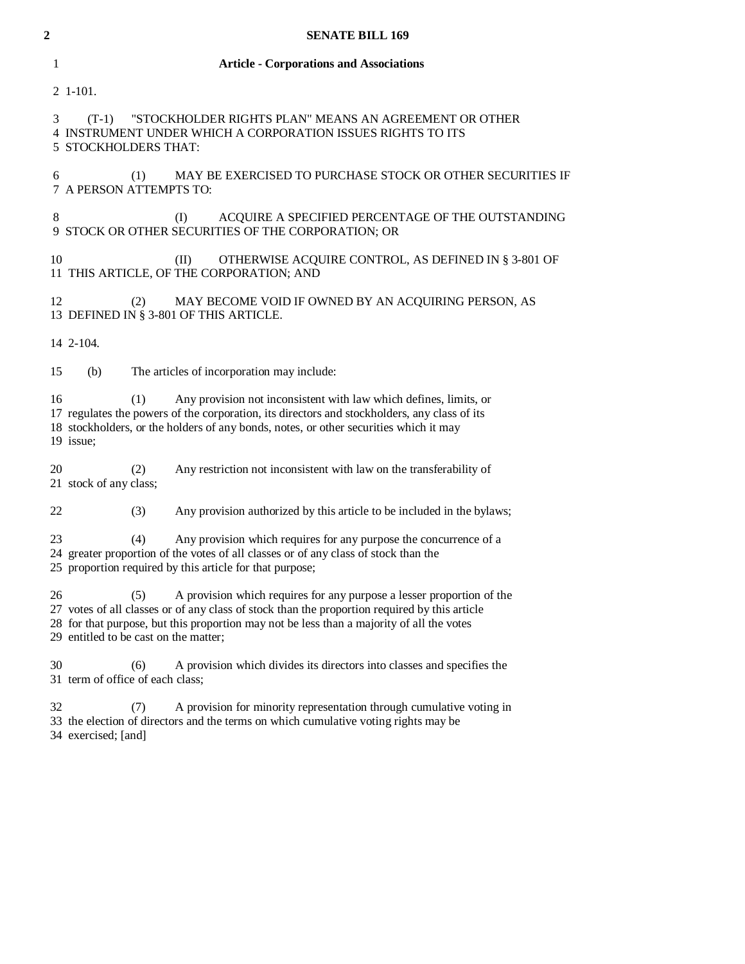| <b>Article - Corporations and Associations</b><br>1                                                                                                                                                                                                                                                                       |
|---------------------------------------------------------------------------------------------------------------------------------------------------------------------------------------------------------------------------------------------------------------------------------------------------------------------------|
| 2 1-101.                                                                                                                                                                                                                                                                                                                  |
| "STOCKHOLDER RIGHTS PLAN" MEANS AN AGREEMENT OR OTHER<br>3<br>$(T-1)$<br>4 INSTRUMENT UNDER WHICH A CORPORATION ISSUES RIGHTS TO ITS<br>5 STOCKHOLDERS THAT:                                                                                                                                                              |
| 6<br>MAY BE EXERCISED TO PURCHASE STOCK OR OTHER SECURITIES IF<br>(1)<br><b>7 A PERSON ATTEMPTS TO:</b>                                                                                                                                                                                                                   |
| 8<br>ACQUIRE A SPECIFIED PERCENTAGE OF THE OUTSTANDING<br>(I)<br>9 STOCK OR OTHER SECURITIES OF THE CORPORATION; OR                                                                                                                                                                                                       |
| 10<br>OTHERWISE ACQUIRE CONTROL, AS DEFINED IN § 3-801 OF<br>(II)<br>11 THIS ARTICLE, OF THE CORPORATION; AND                                                                                                                                                                                                             |
| 12<br>MAY BECOME VOID IF OWNED BY AN ACQUIRING PERSON, AS<br>(2)<br>13 DEFINED IN § 3-801 OF THIS ARTICLE.                                                                                                                                                                                                                |
| 14 2-104.                                                                                                                                                                                                                                                                                                                 |
| The articles of incorporation may include:<br>15<br>(b)                                                                                                                                                                                                                                                                   |
| 16<br>(1)<br>Any provision not inconsistent with law which defines, limits, or<br>17 regulates the powers of the corporation, its directors and stockholders, any class of its<br>18 stockholders, or the holders of any bonds, notes, or other securities which it may<br>19 issue;                                      |
| 20<br>Any restriction not inconsistent with law on the transferability of<br>(2)<br>21 stock of any class;                                                                                                                                                                                                                |
| Any provision authorized by this article to be included in the bylaws;<br>22<br>(3)                                                                                                                                                                                                                                       |
| Any provision which requires for any purpose the concurrence of a<br>23<br>(4)<br>24 greater proportion of the votes of all classes or of any class of stock than the<br>25 proportion required by this article for that purpose;                                                                                         |
| 26<br>A provision which requires for any purpose a lesser proportion of the<br>(5)<br>27 votes of all classes or of any class of stock than the proportion required by this article<br>28 for that purpose, but this proportion may not be less than a majority of all the votes<br>29 entitled to be cast on the matter; |
| 30<br>A provision which divides its directors into classes and specifies the<br>(6)<br>31 term of office of each class;                                                                                                                                                                                                   |
| 32<br>A provision for minority representation through cumulative voting in<br>(7)<br>33 the election of directors and the terms on which cumulative voting rights may be<br>34 exercised; [and]                                                                                                                           |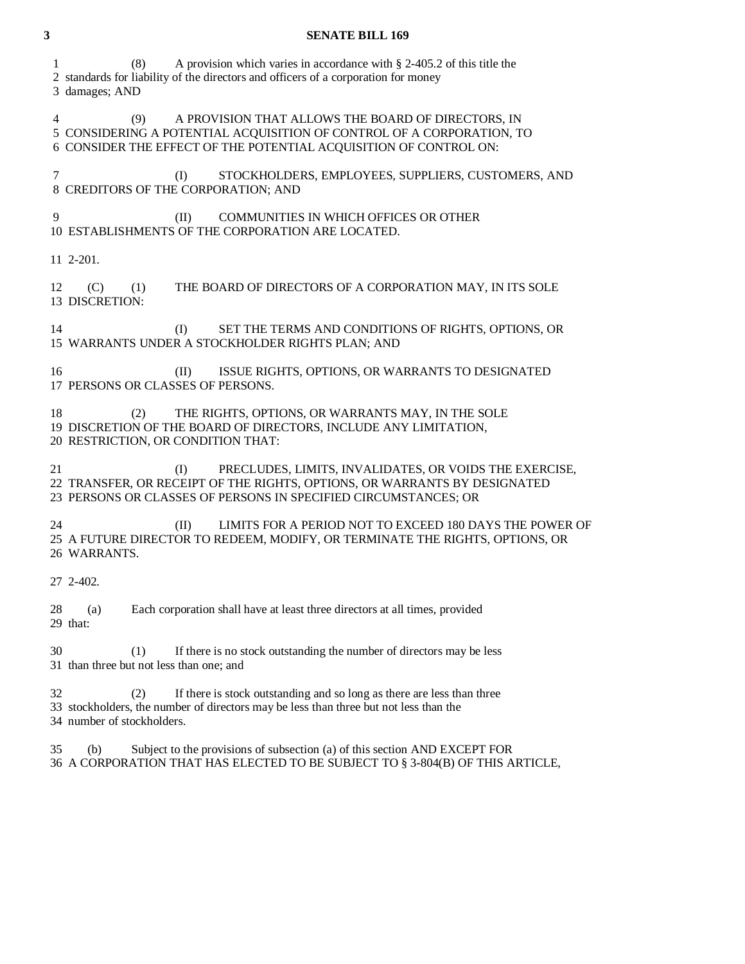| 3  | <b>SENATE BILL 169</b>                                                                                                                                                                                        |
|----|---------------------------------------------------------------------------------------------------------------------------------------------------------------------------------------------------------------|
| 1  | A provision which varies in accordance with $\S$ 2-405.2 of this title the<br>(8)<br>2 standards for liability of the directors and officers of a corporation for money<br>3 damages; AND                     |
| 4  | A PROVISION THAT ALLOWS THE BOARD OF DIRECTORS, IN<br>(9)<br>5 CONSIDERING A POTENTIAL ACQUISITION OF CONTROL OF A CORPORATION, TO<br>6 CONSIDER THE EFFECT OF THE POTENTIAL ACQUISITION OF CONTROL ON:       |
| 7  | STOCKHOLDERS, EMPLOYEES, SUPPLIERS, CUSTOMERS, AND<br>(I)<br>8 CREDITORS OF THE CORPORATION; AND                                                                                                              |
| 9  | COMMUNITIES IN WHICH OFFICES OR OTHER<br>(II)<br>10 ESTABLISHMENTS OF THE CORPORATION ARE LOCATED.                                                                                                            |
|    | 11 2-201.                                                                                                                                                                                                     |
| 12 | THE BOARD OF DIRECTORS OF A CORPORATION MAY, IN ITS SOLE<br>(C)<br>(1)<br>13 DISCRETION:                                                                                                                      |
| 14 | SET THE TERMS AND CONDITIONS OF RIGHTS, OPTIONS, OR<br>(I)<br>15 WARRANTS UNDER A STOCKHOLDER RIGHTS PLAN; AND                                                                                                |
| 16 | ISSUE RIGHTS, OPTIONS, OR WARRANTS TO DESIGNATED<br>(II)<br>17 PERSONS OR CLASSES OF PERSONS.                                                                                                                 |
| 18 | THE RIGHTS, OPTIONS, OR WARRANTS MAY, IN THE SOLE<br>(2)<br>19 DISCRETION OF THE BOARD OF DIRECTORS, INCLUDE ANY LIMITATION,<br>20 RESTRICTION, OR CONDITION THAT:                                            |
| 21 | PRECLUDES, LIMITS, INVALIDATES, OR VOIDS THE EXERCISE,<br>(I)<br>22 TRANSFER, OR RECEIPT OF THE RIGHTS, OPTIONS, OR WARRANTS BY DESIGNATED<br>23 PERSONS OR CLASSES OF PERSONS IN SPECIFIED CIRCUMSTANCES; OR |
| 24 | LIMITS FOR A PERIOD NOT TO EXCEED 180 DAYS THE POWER OF<br>(II)<br>25 A FUTURE DIRECTOR TO REDEEM, MODIFY, OR TERMINATE THE RIGHTS, OPTIONS, OR<br>26 WARRANTS.                                               |
|    | 27 2-402.                                                                                                                                                                                                     |
| 28 | Each corporation shall have at least three directors at all times, provided<br>(a)<br>29 that:                                                                                                                |
| 30 | If there is no stock outstanding the number of directors may be less<br>(1)<br>31 than three but not less than one; and                                                                                       |
| 32 | If there is stock outstanding and so long as there are less than three<br>(2)<br>33 stockholders, the number of directors may be less than three but not less than the<br>34 number of stockholders.          |

 35 (b) Subject to the provisions of subsection (a) of this section AND EXCEPT FOR 36 A CORPORATION THAT HAS ELECTED TO BE SUBJECT TO § 3-804(B) OF THIS ARTICLE,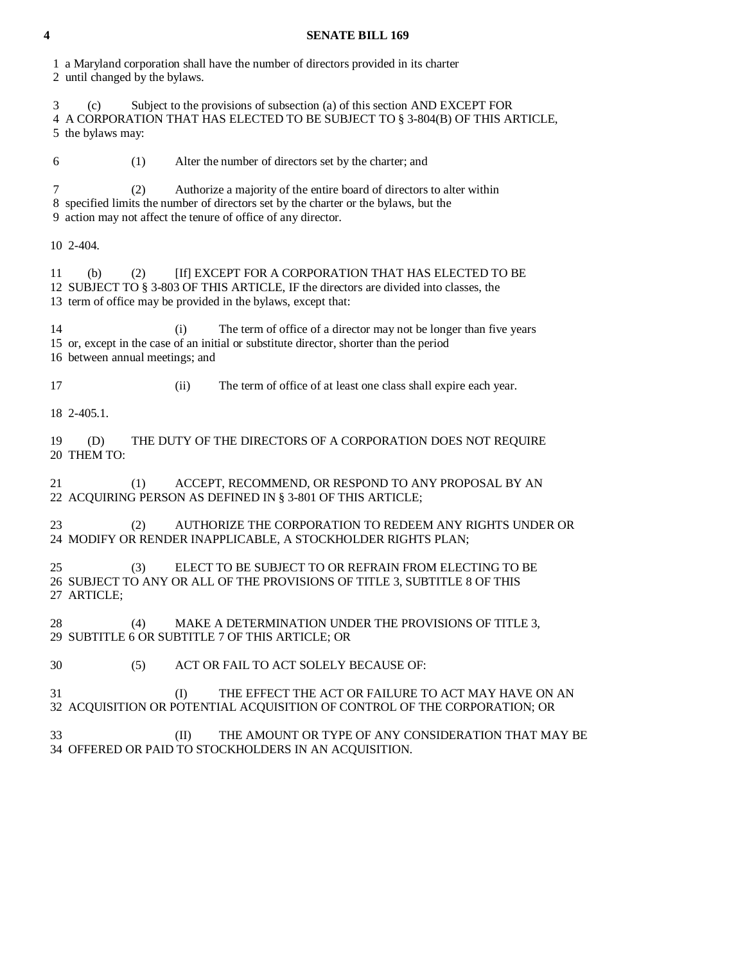1 a Maryland corporation shall have the number of directors provided in its charter 2 until changed by the bylaws.

 3 (c) Subject to the provisions of subsection (a) of this section AND EXCEPT FOR 4 A CORPORATION THAT HAS ELECTED TO BE SUBJECT TO § 3-804(B) OF THIS ARTICLE, 5 the bylaws may:

6 (1) Alter the number of directors set by the charter; and

 7 (2) Authorize a majority of the entire board of directors to alter within 8 specified limits the number of directors set by the charter or the bylaws, but the 9 action may not affect the tenure of office of any director.

10 2-404.

 11 (b) (2) [If] EXCEPT FOR A CORPORATION THAT HAS ELECTED TO BE 12 SUBJECT TO § 3-803 OF THIS ARTICLE, IF the directors are divided into classes, the 13 term of office may be provided in the bylaws, except that:

 14 (i) The term of office of a director may not be longer than five years 15 or, except in the case of an initial or substitute director, shorter than the period 16 between annual meetings; and

17 (ii) The term of office of at least one class shall expire each year.

18 2-405.1.

 19 (D) THE DUTY OF THE DIRECTORS OF A CORPORATION DOES NOT REQUIRE 20 THEM TO:

 21 (1) ACCEPT, RECOMMEND, OR RESPOND TO ANY PROPOSAL BY AN 22 ACQUIRING PERSON AS DEFINED IN § 3-801 OF THIS ARTICLE;

 23 (2) AUTHORIZE THE CORPORATION TO REDEEM ANY RIGHTS UNDER OR 24 MODIFY OR RENDER INAPPLICABLE, A STOCKHOLDER RIGHTS PLAN;

 25 (3) ELECT TO BE SUBJECT TO OR REFRAIN FROM ELECTING TO BE 26 SUBJECT TO ANY OR ALL OF THE PROVISIONS OF TITLE 3, SUBTITLE 8 OF THIS 27 ARTICLE;

28 (4) MAKE A DETERMINATION UNDER THE PROVISIONS OF TITLE 3, 29 SUBTITLE 6 OR SUBTITLE 7 OF THIS ARTICLE; OR

30 (5) ACT OR FAIL TO ACT SOLELY BECAUSE OF:

 31 (I) THE EFFECT THE ACT OR FAILURE TO ACT MAY HAVE ON AN 32 ACQUISITION OR POTENTIAL ACQUISITION OF CONTROL OF THE CORPORATION; OR

 33 (II) THE AMOUNT OR TYPE OF ANY CONSIDERATION THAT MAY BE 34 OFFERED OR PAID TO STOCKHOLDERS IN AN ACQUISITION.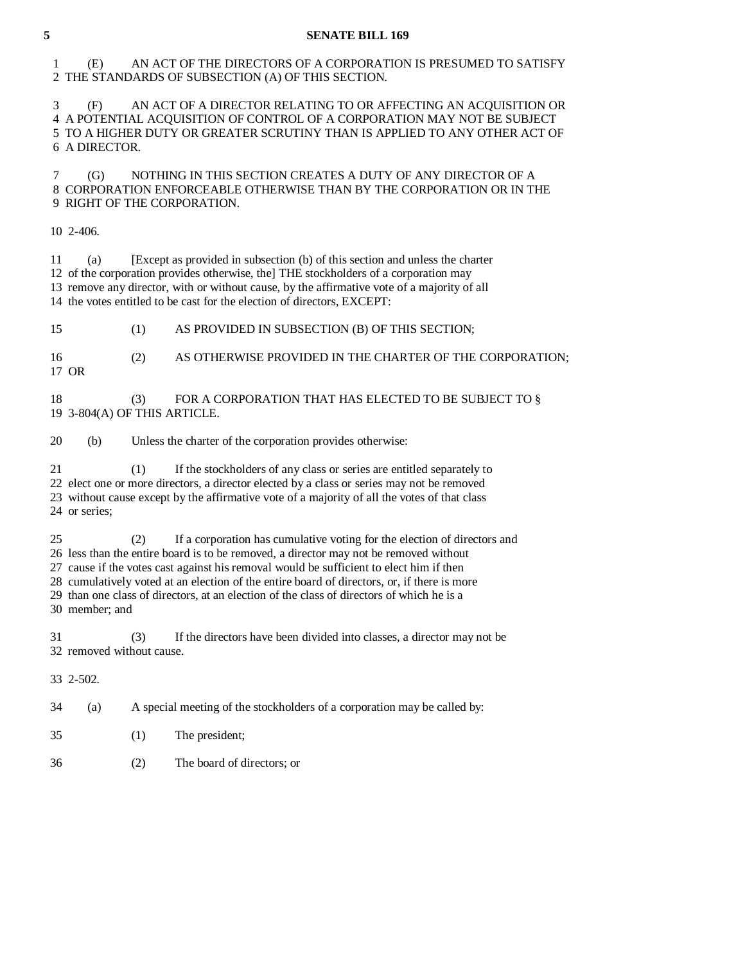## 1 (E) AN ACT OF THE DIRECTORS OF A CORPORATION IS PRESUMED TO SATISFY 2 THE STANDARDS OF SUBSECTION (A) OF THIS SECTION.

 3 (F) AN ACT OF A DIRECTOR RELATING TO OR AFFECTING AN ACQUISITION OR 4 A POTENTIAL ACQUISITION OF CONTROL OF A CORPORATION MAY NOT BE SUBJECT 5 TO A HIGHER DUTY OR GREATER SCRUTINY THAN IS APPLIED TO ANY OTHER ACT OF 6 A DIRECTOR.

 7 (G) NOTHING IN THIS SECTION CREATES A DUTY OF ANY DIRECTOR OF A 8 CORPORATION ENFORCEABLE OTHERWISE THAN BY THE CORPORATION OR IN THE 9 RIGHT OF THE CORPORATION.

10 2-406.

 11 (a) [Except as provided in subsection (b) of this section and unless the charter 12 of the corporation provides otherwise, the] THE stockholders of a corporation may 13 remove any director, with or without cause, by the affirmative vote of a majority of all 14 the votes entitled to be cast for the election of directors, EXCEPT:

15 (1) AS PROVIDED IN SUBSECTION (B) OF THIS SECTION;

16 (2) AS OTHERWISE PROVIDED IN THE CHARTER OF THE CORPORATION;

17 OR

18 (3) FOR A CORPORATION THAT HAS ELECTED TO BE SUBJECT TO § 19 3-804(A) OF THIS ARTICLE.

20 (b) Unless the charter of the corporation provides otherwise:

21 (1) If the stockholders of any class or series are entitled separately to

22 elect one or more directors, a director elected by a class or series may not be removed

 23 without cause except by the affirmative vote of a majority of all the votes of that class 24 or series;

25 (2) If a corporation has cumulative voting for the election of directors and

26 less than the entire board is to be removed, a director may not be removed without

27 cause if the votes cast against his removal would be sufficient to elect him if then

 28 cumulatively voted at an election of the entire board of directors, or, if there is more 29 than one class of directors, at an election of the class of directors of which he is a

30 member; and

 31 (3) If the directors have been divided into classes, a director may not be 32 removed without cause.

33 2-502.

34 (a) A special meeting of the stockholders of a corporation may be called by:

- 35 (1) The president;
- 36 (2) The board of directors; or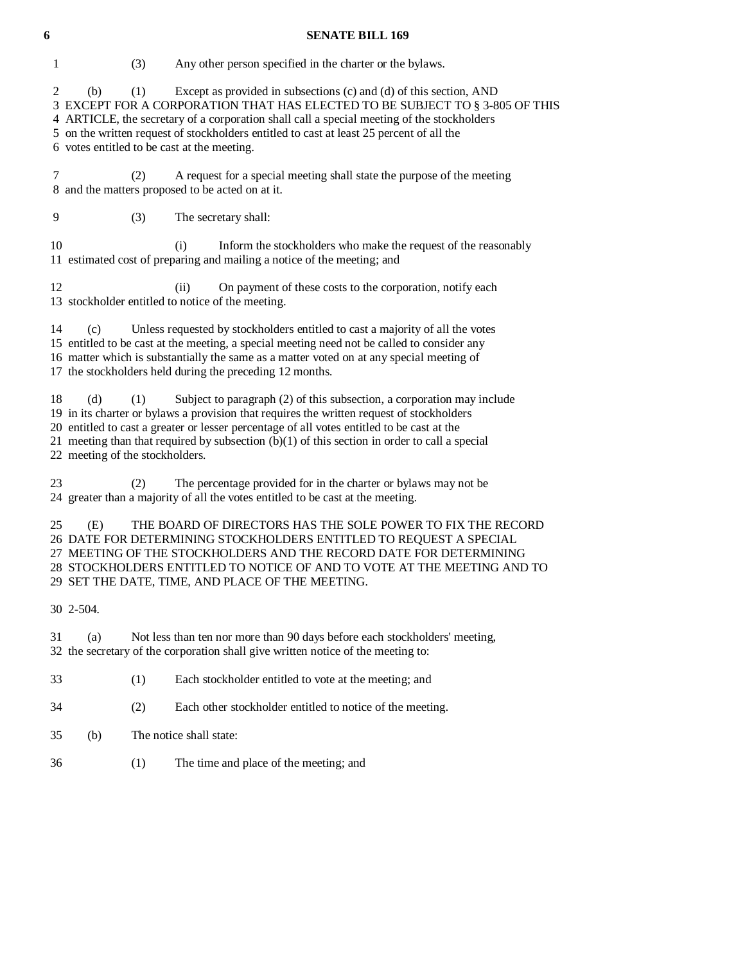1 (3) Any other person specified in the charter or the bylaws. 2 (b) (1) Except as provided in subsections (c) and (d) of this section, AND 3 EXCEPT FOR A CORPORATION THAT HAS ELECTED TO BE SUBJECT TO § 3-805 OF THIS 4 ARTICLE, the secretary of a corporation shall call a special meeting of the stockholders 5 on the written request of stockholders entitled to cast at least 25 percent of all the 6 votes entitled to be cast at the meeting. 7 (2) A request for a special meeting shall state the purpose of the meeting 8 and the matters proposed to be acted on at it. 9 (3) The secretary shall: 10 (i) Inform the stockholders who make the request of the reasonably 11 estimated cost of preparing and mailing a notice of the meeting; and 12 (ii) On payment of these costs to the corporation, notify each 13 stockholder entitled to notice of the meeting. 14 (c) Unless requested by stockholders entitled to cast a majority of all the votes 15 entitled to be cast at the meeting, a special meeting need not be called to consider any 16 matter which is substantially the same as a matter voted on at any special meeting of 17 the stockholders held during the preceding 12 months. 18 (d) (1) Subject to paragraph (2) of this subsection, a corporation may include 19 in its charter or bylaws a provision that requires the written request of stockholders 20 entitled to cast a greater or lesser percentage of all votes entitled to be cast at the 21 meeting than that required by subsection  $(b)(1)$  of this section in order to call a special 22 meeting of the stockholders.

 23 (2) The percentage provided for in the charter or bylaws may not be 24 greater than a majority of all the votes entitled to be cast at the meeting.

 25 (E) THE BOARD OF DIRECTORS HAS THE SOLE POWER TO FIX THE RECORD 26 DATE FOR DETERMINING STOCKHOLDERS ENTITLED TO REQUEST A SPECIAL 27 MEETING OF THE STOCKHOLDERS AND THE RECORD DATE FOR DETERMINING 28 STOCKHOLDERS ENTITLED TO NOTICE OF AND TO VOTE AT THE MEETING AND TO 29 SET THE DATE, TIME, AND PLACE OF THE MEETING.

30 2-504.

 31 (a) Not less than ten nor more than 90 days before each stockholders' meeting, 32 the secretary of the corporation shall give written notice of the meeting to:

- 33 (1) Each stockholder entitled to vote at the meeting; and
- 34 (2) Each other stockholder entitled to notice of the meeting.
- 35 (b) The notice shall state:
- 36 (1) The time and place of the meeting; and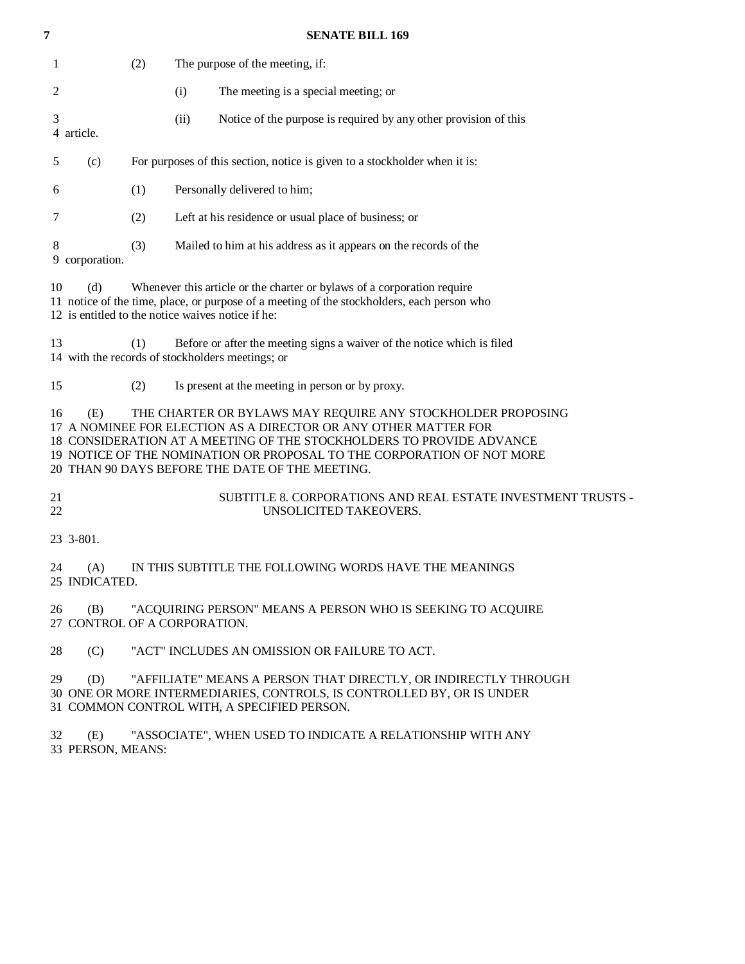| 7        |                                                          |     |      | <b>SENATE BILL 169</b>                                                                                                                                                                                                                                                                                                              |
|----------|----------------------------------------------------------|-----|------|-------------------------------------------------------------------------------------------------------------------------------------------------------------------------------------------------------------------------------------------------------------------------------------------------------------------------------------|
| 1        |                                                          | (2) |      | The purpose of the meeting, if:                                                                                                                                                                                                                                                                                                     |
| 2        |                                                          |     | (i)  | The meeting is a special meeting; or                                                                                                                                                                                                                                                                                                |
| 3        | 4 article.                                               |     | (ii) | Notice of the purpose is required by any other provision of this                                                                                                                                                                                                                                                                    |
| 5        | (c)                                                      |     |      | For purposes of this section, notice is given to a stockholder when it is:                                                                                                                                                                                                                                                          |
| 6        |                                                          | (1) |      | Personally delivered to him;                                                                                                                                                                                                                                                                                                        |
| 7        |                                                          | (2) |      | Left at his residence or usual place of business; or                                                                                                                                                                                                                                                                                |
| 8        | 9 corporation.                                           | (3) |      | Mailed to him at his address as it appears on the records of the                                                                                                                                                                                                                                                                    |
| 10       | (d)<br>12 is entitled to the notice waives notice if he: |     |      | Whenever this article or the charter or bylaws of a corporation require<br>11 notice of the time, place, or purpose of a meeting of the stockholders, each person who                                                                                                                                                               |
| 13       |                                                          | (1) |      | Before or after the meeting signs a waiver of the notice which is filed<br>14 with the records of stockholders meetings; or                                                                                                                                                                                                         |
| 15       |                                                          | (2) |      | Is present at the meeting in person or by proxy.                                                                                                                                                                                                                                                                                    |
| 16       | (E)                                                      |     |      | THE CHARTER OR BYLAWS MAY REQUIRE ANY STOCKHOLDER PROPOSING<br>17 A NOMINEE FOR ELECTION AS A DIRECTOR OR ANY OTHER MATTER FOR<br>18 CONSIDERATION AT A MEETING OF THE STOCKHOLDERS TO PROVIDE ADVANCE<br>19 NOTICE OF THE NOMINATION OR PROPOSAL TO THE CORPORATION OF NOT MORE<br>20 THAN 90 DAYS BEFORE THE DATE OF THE MEETING. |
| 21<br>22 |                                                          |     |      | SUBTITLE 8. CORPORATIONS AND REAL ESTATE INVESTMENT TRUSTS -<br>UNSOLICITED TAKEOVERS.                                                                                                                                                                                                                                              |
|          | 23 3-801.                                                |     |      |                                                                                                                                                                                                                                                                                                                                     |
| 24       | (A)<br>25 INDICATED.                                     |     |      | IN THIS SUBTITLE THE FOLLOWING WORDS HAVE THE MEANINGS                                                                                                                                                                                                                                                                              |
| 26       | (B)<br>27 CONTROL OF A CORPORATION.                      |     |      | "ACQUIRING PERSON" MEANS A PERSON WHO IS SEEKING TO ACQUIRE                                                                                                                                                                                                                                                                         |
| 28       | (C)                                                      |     |      | "ACT" INCLUDES AN OMISSION OR FAILURE TO ACT.                                                                                                                                                                                                                                                                                       |
| 29       | (D)                                                      |     |      | "AFFILIATE" MEANS A PERSON THAT DIRECTLY, OR INDIRECTLY THROUGH<br>30 ONE OR MORE INTERMEDIARIES, CONTROLS, IS CONTROLLED BY, OR IS UNDER<br>31 COMMON CONTROL WITH, A SPECIFIED PERSON.                                                                                                                                            |

 32 (E) "ASSOCIATE", WHEN USED TO INDICATE A RELATIONSHIP WITH ANY 33 PERSON, MEANS: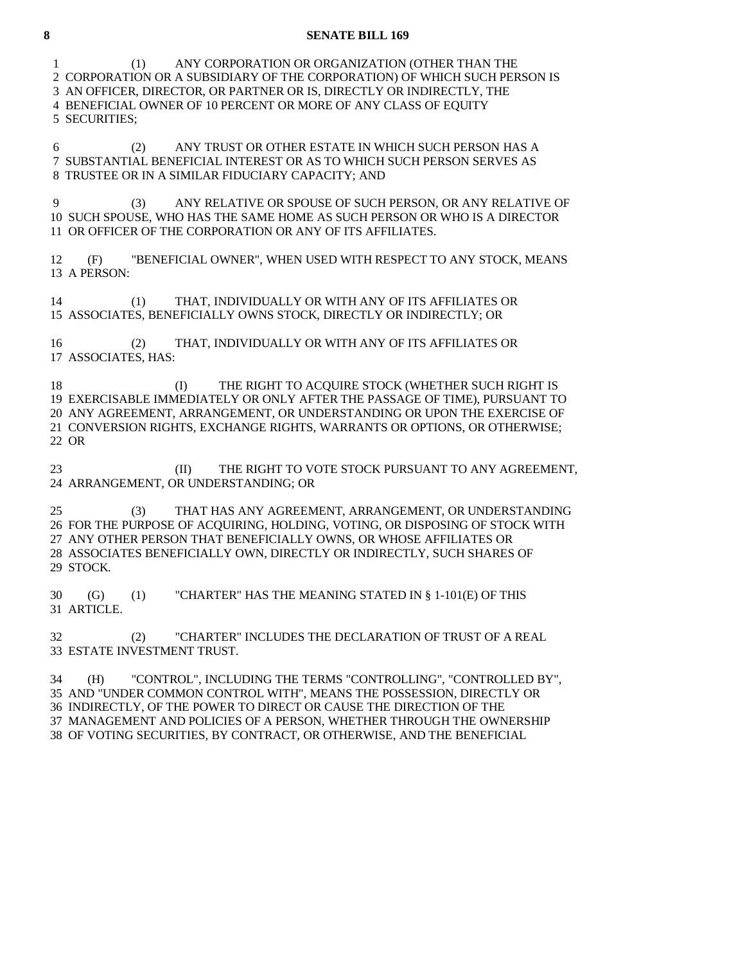1 (1) ANY CORPORATION OR ORGANIZATION (OTHER THAN THE 2 CORPORATION OR A SUBSIDIARY OF THE CORPORATION) OF WHICH SUCH PERSON IS 3 AN OFFICER, DIRECTOR, OR PARTNER OR IS, DIRECTLY OR INDIRECTLY, THE 4 BENEFICIAL OWNER OF 10 PERCENT OR MORE OF ANY CLASS OF EQUITY 5 SECURITIES; 6 (2) ANY TRUST OR OTHER ESTATE IN WHICH SUCH PERSON HAS A 7 SUBSTANTIAL BENEFICIAL INTEREST OR AS TO WHICH SUCH PERSON SERVES AS 8 TRUSTEE OR IN A SIMILAR FIDUCIARY CAPACITY; AND 9 (3) ANY RELATIVE OR SPOUSE OF SUCH PERSON, OR ANY RELATIVE OF 10 SUCH SPOUSE, WHO HAS THE SAME HOME AS SUCH PERSON OR WHO IS A DIRECTOR 11 OR OFFICER OF THE CORPORATION OR ANY OF ITS AFFILIATES. 12 (F) "BENEFICIAL OWNER", WHEN USED WITH RESPECT TO ANY STOCK, MEANS 13 A PERSON: 14 (1) THAT, INDIVIDUALLY OR WITH ANY OF ITS AFFILIATES OR 15 ASSOCIATES, BENEFICIALLY OWNS STOCK, DIRECTLY OR INDIRECTLY; OR 16 (2) THAT, INDIVIDUALLY OR WITH ANY OF ITS AFFILIATES OR 17 ASSOCIATES, HAS: 18 (I) THE RIGHT TO ACOUIRE STOCK (WHETHER SUCH RIGHT IS 19 EXERCISABLE IMMEDIATELY OR ONLY AFTER THE PASSAGE OF TIME), PURSUANT TO 20 ANY AGREEMENT, ARRANGEMENT, OR UNDERSTANDING OR UPON THE EXERCISE OF 21 CONVERSION RIGHTS, EXCHANGE RIGHTS, WARRANTS OR OPTIONS, OR OTHERWISE; 22 OR

23 (II) THE RIGHT TO VOTE STOCK PURSUANT TO ANY AGREEMENT, 24 ARRANGEMENT, OR UNDERSTANDING; OR

 25 (3) THAT HAS ANY AGREEMENT, ARRANGEMENT, OR UNDERSTANDING 26 FOR THE PURPOSE OF ACQUIRING, HOLDING, VOTING, OR DISPOSING OF STOCK WITH 27 ANY OTHER PERSON THAT BENEFICIALLY OWNS, OR WHOSE AFFILIATES OR 28 ASSOCIATES BENEFICIALLY OWN, DIRECTLY OR INDIRECTLY, SUCH SHARES OF 29 STOCK.

 30 (G) (1) "CHARTER" HAS THE MEANING STATED IN § 1-101(E) OF THIS 31 ARTICLE.

 32 (2) "CHARTER" INCLUDES THE DECLARATION OF TRUST OF A REAL 33 ESTATE INVESTMENT TRUST.

 34 (H) "CONTROL", INCLUDING THE TERMS "CONTROLLING", "CONTROLLED BY", 35 AND "UNDER COMMON CONTROL WITH", MEANS THE POSSESSION, DIRECTLY OR 36 INDIRECTLY, OF THE POWER TO DIRECT OR CAUSE THE DIRECTION OF THE 37 MANAGEMENT AND POLICIES OF A PERSON, WHETHER THROUGH THE OWNERSHIP 38 OF VOTING SECURITIES, BY CONTRACT, OR OTHERWISE, AND THE BENEFICIAL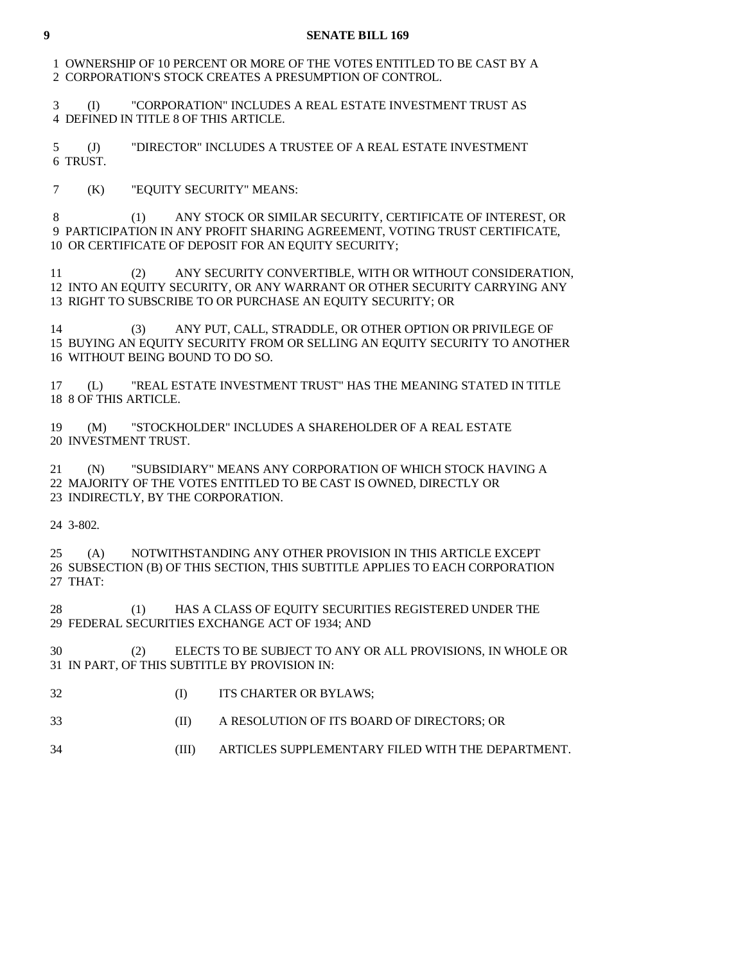1 OWNERSHIP OF 10 PERCENT OR MORE OF THE VOTES ENTITLED TO BE CAST BY A 2 CORPORATION'S STOCK CREATES A PRESUMPTION OF CONTROL.

 3 (I) "CORPORATION" INCLUDES A REAL ESTATE INVESTMENT TRUST AS 4 DEFINED IN TITLE 8 OF THIS ARTICLE.

 5 (J) "DIRECTOR" INCLUDES A TRUSTEE OF A REAL ESTATE INVESTMENT 6 TRUST.

7 (K) "EQUITY SECURITY" MEANS:

 8 (1) ANY STOCK OR SIMILAR SECURITY, CERTIFICATE OF INTEREST, OR 9 PARTICIPATION IN ANY PROFIT SHARING AGREEMENT, VOTING TRUST CERTIFICATE, 10 OR CERTIFICATE OF DEPOSIT FOR AN EQUITY SECURITY;

 11 (2) ANY SECURITY CONVERTIBLE, WITH OR WITHOUT CONSIDERATION, 12 INTO AN EQUITY SECURITY, OR ANY WARRANT OR OTHER SECURITY CARRYING ANY 13 RIGHT TO SUBSCRIBE TO OR PURCHASE AN EQUITY SECURITY; OR

 14 (3) ANY PUT, CALL, STRADDLE, OR OTHER OPTION OR PRIVILEGE OF 15 BUYING AN EQUITY SECURITY FROM OR SELLING AN EQUITY SECURITY TO ANOTHER 16 WITHOUT BEING BOUND TO DO SO.

 17 (L) "REAL ESTATE INVESTMENT TRUST" HAS THE MEANING STATED IN TITLE 18 8 OF THIS ARTICLE.

 19 (M) "STOCKHOLDER" INCLUDES A SHAREHOLDER OF A REAL ESTATE 20 INVESTMENT TRUST.

 21 (N) "SUBSIDIARY" MEANS ANY CORPORATION OF WHICH STOCK HAVING A 22 MAJORITY OF THE VOTES ENTITLED TO BE CAST IS OWNED, DIRECTLY OR 23 INDIRECTLY, BY THE CORPORATION.

24 3-802.

 25 (A) NOTWITHSTANDING ANY OTHER PROVISION IN THIS ARTICLE EXCEPT 26 SUBSECTION (B) OF THIS SECTION, THIS SUBTITLE APPLIES TO EACH CORPORATION 27 THAT:

 28 (1) HAS A CLASS OF EQUITY SECURITIES REGISTERED UNDER THE 29 FEDERAL SECURITIES EXCHANGE ACT OF 1934; AND

 30 (2) ELECTS TO BE SUBJECT TO ANY OR ALL PROVISIONS, IN WHOLE OR 31 IN PART, OF THIS SUBTITLE BY PROVISION IN:

- 32 (I) ITS CHARTER OR BYLAWS;
- 33 (II) A RESOLUTION OF ITS BOARD OF DIRECTORS; OR
- 34 (III) ARTICLES SUPPLEMENTARY FILED WITH THE DEPARTMENT.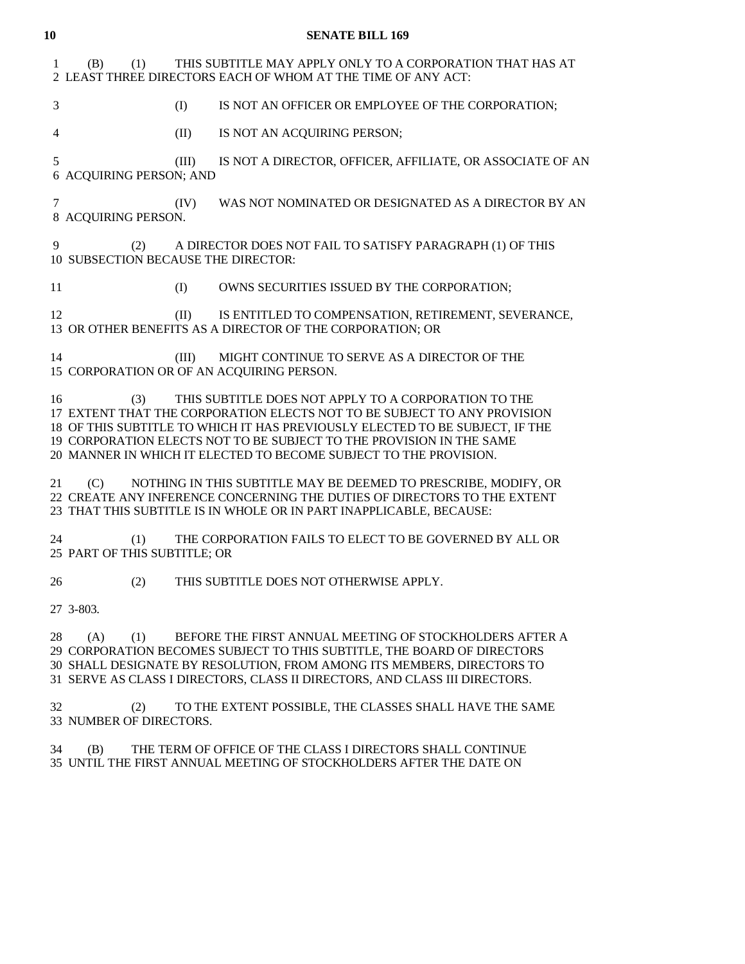| 10           |                                            |       | <b>SENATE BILL 169</b>                                                                                                                                                                                                                                                                                                                                        |
|--------------|--------------------------------------------|-------|---------------------------------------------------------------------------------------------------------------------------------------------------------------------------------------------------------------------------------------------------------------------------------------------------------------------------------------------------------------|
| $\mathbf{1}$ | (B)<br>(1)                                 |       | THIS SUBTITLE MAY APPLY ONLY TO A CORPORATION THAT HAS AT<br>2 LEAST THREE DIRECTORS EACH OF WHOM AT THE TIME OF ANY ACT:                                                                                                                                                                                                                                     |
| 3            |                                            | (I)   | IS NOT AN OFFICER OR EMPLOYEE OF THE CORPORATION;                                                                                                                                                                                                                                                                                                             |
| 4            |                                            | (II)  | IS NOT AN ACQUIRING PERSON;                                                                                                                                                                                                                                                                                                                                   |
| 5            | 6 ACQUIRING PERSON; AND                    | (III) | IS NOT A DIRECTOR, OFFICER, AFFILIATE, OR ASSOCIATE OF AN                                                                                                                                                                                                                                                                                                     |
| 7            | 8 ACQUIRING PERSON.                        | (IV)  | WAS NOT NOMINATED OR DESIGNATED AS A DIRECTOR BY AN                                                                                                                                                                                                                                                                                                           |
| 9            | (2)<br>10 SUBSECTION BECAUSE THE DIRECTOR: |       | A DIRECTOR DOES NOT FAIL TO SATISFY PARAGRAPH (1) OF THIS                                                                                                                                                                                                                                                                                                     |
| 11           |                                            | (I)   | OWNS SECURITIES ISSUED BY THE CORPORATION;                                                                                                                                                                                                                                                                                                                    |
| 12           |                                            | (II)  | IS ENTITLED TO COMPENSATION, RETIREMENT, SEVERANCE,<br>13 OR OTHER BENEFITS AS A DIRECTOR OF THE CORPORATION; OR                                                                                                                                                                                                                                              |
| 14           |                                            | (III) | MIGHT CONTINUE TO SERVE AS A DIRECTOR OF THE<br>15 CORPORATION OR OF AN ACQUIRING PERSON.                                                                                                                                                                                                                                                                     |
| 16           | (3)                                        |       | THIS SUBTITLE DOES NOT APPLY TO A CORPORATION TO THE<br>17 EXTENT THAT THE CORPORATION ELECTS NOT TO BE SUBJECT TO ANY PROVISION<br>18 OF THIS SUBTITLE TO WHICH IT HAS PREVIOUSLY ELECTED TO BE SUBJECT, IF THE<br>19 CORPORATION ELECTS NOT TO BE SUBJECT TO THE PROVISION IN THE SAME<br>20 MANNER IN WHICH IT ELECTED TO BECOME SUBJECT TO THE PROVISION. |
| 21           | (C)                                        |       | NOTHING IN THIS SUBTITLE MAY BE DEEMED TO PRESCRIBE, MODIFY, OR<br>22 CREATE ANY INFERENCE CONCERNING THE DUTIES OF DIRECTORS TO THE EXTENT<br>23 THAT THIS SUBTITLE IS IN WHOLE OR IN PART INAPPLICABLE, BECAUSE:                                                                                                                                            |
| 24           | (1)<br>25 PART OF THIS SUBTITLE; OR        |       | THE CORPORATION FAILS TO ELECT TO BE GOVERNED BY ALL OR                                                                                                                                                                                                                                                                                                       |
| 26           | (2)                                        |       | THIS SUBTITLE DOES NOT OTHERWISE APPLY.                                                                                                                                                                                                                                                                                                                       |
|              | 27 3-803.                                  |       |                                                                                                                                                                                                                                                                                                                                                               |
| 28           | (A)<br>(1)                                 |       | BEFORE THE FIRST ANNUAL MEETING OF STOCKHOLDERS AFTER A<br>29 CORPORATION BECOMES SUBJECT TO THIS SUBTITLE, THE BOARD OF DIRECTORS<br>30 SHALL DESIGNATE BY RESOLUTION, FROM AMONG ITS MEMBERS, DIRECTORS TO<br>31 SERVE AS CLASS I DIRECTORS, CLASS II DIRECTORS, AND CLASS III DIRECTORS.                                                                   |
| 32           | (2)<br>33 NUMBER OF DIRECTORS.             |       | TO THE EXTENT POSSIBLE, THE CLASSES SHALL HAVE THE SAME                                                                                                                                                                                                                                                                                                       |

 34 (B) THE TERM OF OFFICE OF THE CLASS I DIRECTORS SHALL CONTINUE 35 UNTIL THE FIRST ANNUAL MEETING OF STOCKHOLDERS AFTER THE DATE ON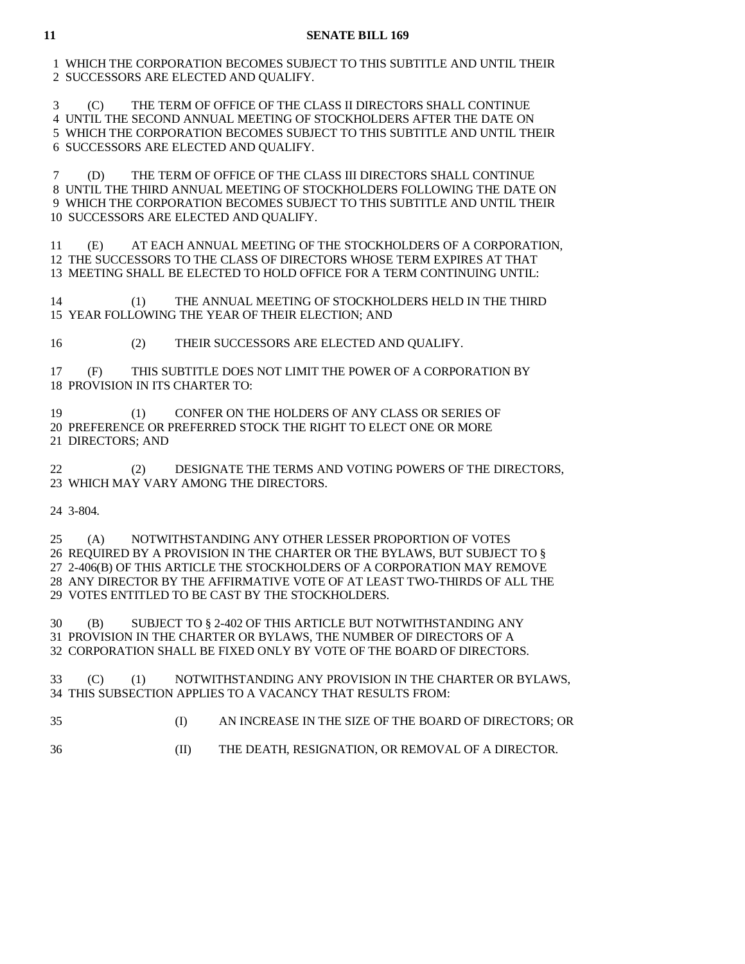1 WHICH THE CORPORATION BECOMES SUBJECT TO THIS SUBTITLE AND UNTIL THEIR 2 SUCCESSORS ARE ELECTED AND QUALIFY.

 3 (C) THE TERM OF OFFICE OF THE CLASS II DIRECTORS SHALL CONTINUE 4 UNTIL THE SECOND ANNUAL MEETING OF STOCKHOLDERS AFTER THE DATE ON 5 WHICH THE CORPORATION BECOMES SUBJECT TO THIS SUBTITLE AND UNTIL THEIR 6 SUCCESSORS ARE ELECTED AND QUALIFY.

 7 (D) THE TERM OF OFFICE OF THE CLASS III DIRECTORS SHALL CONTINUE 8 UNTIL THE THIRD ANNUAL MEETING OF STOCKHOLDERS FOLLOWING THE DATE ON 9 WHICH THE CORPORATION BECOMES SUBJECT TO THIS SUBTITLE AND UNTIL THEIR 10 SUCCESSORS ARE ELECTED AND QUALIFY.

 11 (E) AT EACH ANNUAL MEETING OF THE STOCKHOLDERS OF A CORPORATION, 12 THE SUCCESSORS TO THE CLASS OF DIRECTORS WHOSE TERM EXPIRES AT THAT 13 MEETING SHALL BE ELECTED TO HOLD OFFICE FOR A TERM CONTINUING UNTIL:

 14 (1) THE ANNUAL MEETING OF STOCKHOLDERS HELD IN THE THIRD 15 YEAR FOLLOWING THE YEAR OF THEIR ELECTION; AND

16 (2) THEIR SUCCESSORS ARE ELECTED AND QUALIFY.

 17 (F) THIS SUBTITLE DOES NOT LIMIT THE POWER OF A CORPORATION BY 18 PROVISION IN ITS CHARTER TO:

 19 (1) CONFER ON THE HOLDERS OF ANY CLASS OR SERIES OF 20 PREFERENCE OR PREFERRED STOCK THE RIGHT TO ELECT ONE OR MORE 21 DIRECTORS; AND

 22 (2) DESIGNATE THE TERMS AND VOTING POWERS OF THE DIRECTORS, 23 WHICH MAY VARY AMONG THE DIRECTORS.

24 3-804.

 25 (A) NOTWITHSTANDING ANY OTHER LESSER PROPORTION OF VOTES 26 REQUIRED BY A PROVISION IN THE CHARTER OR THE BYLAWS, BUT SUBJECT TO § 27 2-406(B) OF THIS ARTICLE THE STOCKHOLDERS OF A CORPORATION MAY REMOVE 28 ANY DIRECTOR BY THE AFFIRMATIVE VOTE OF AT LEAST TWO-THIRDS OF ALL THE 29 VOTES ENTITLED TO BE CAST BY THE STOCKHOLDERS.

 30 (B) SUBJECT TO § 2-402 OF THIS ARTICLE BUT NOTWITHSTANDING ANY 31 PROVISION IN THE CHARTER OR BYLAWS, THE NUMBER OF DIRECTORS OF A 32 CORPORATION SHALL BE FIXED ONLY BY VOTE OF THE BOARD OF DIRECTORS.

 33 (C) (1) NOTWITHSTANDING ANY PROVISION IN THE CHARTER OR BYLAWS, 34 THIS SUBSECTION APPLIES TO A VACANCY THAT RESULTS FROM:

35 (I) AN INCREASE IN THE SIZE OF THE BOARD OF DIRECTORS; OR

- 
- 36 (II) THE DEATH, RESIGNATION, OR REMOVAL OF A DIRECTOR.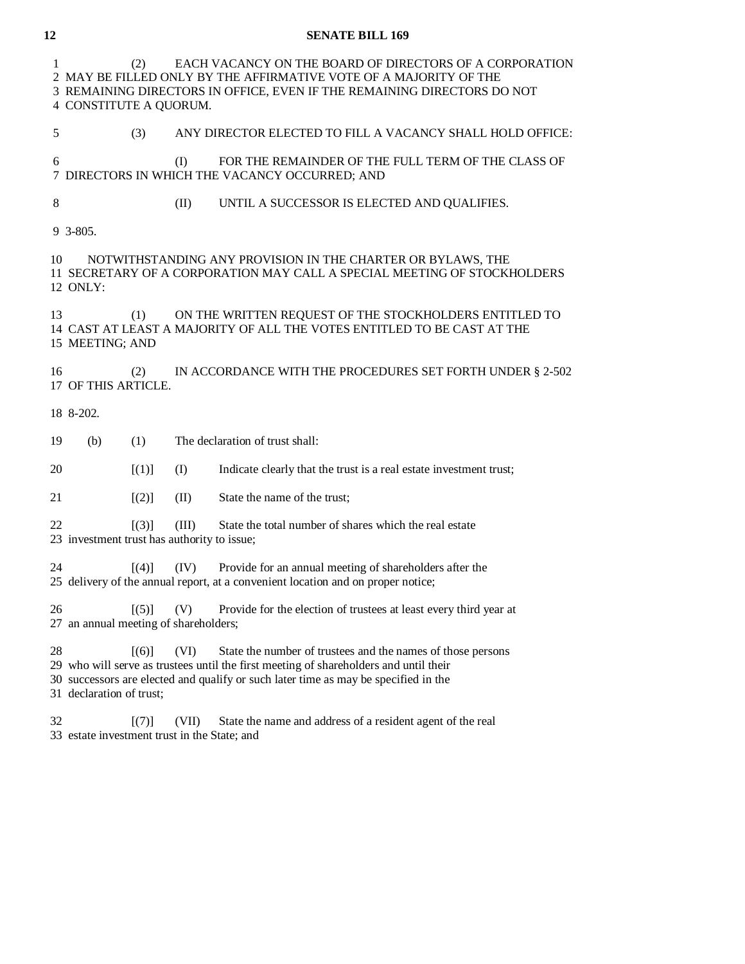| 1              | EACH VACANCY ON THE BOARD OF DIRECTORS OF A CORPORATION<br>(2)<br>2 MAY BE FILLED ONLY BY THE AFFIRMATIVE VOTE OF A MAJORITY OF THE<br>3 REMAINING DIRECTORS IN OFFICE, EVEN IF THE REMAINING DIRECTORS DO NOT<br>4 CONSTITUTE A QUORUM. |                                                |       |                                                                                                                                                                                                                                             |  |  |  |
|----------------|------------------------------------------------------------------------------------------------------------------------------------------------------------------------------------------------------------------------------------------|------------------------------------------------|-------|---------------------------------------------------------------------------------------------------------------------------------------------------------------------------------------------------------------------------------------------|--|--|--|
| 5              |                                                                                                                                                                                                                                          | (3)                                            |       | ANY DIRECTOR ELECTED TO FILL A VACANCY SHALL HOLD OFFICE:                                                                                                                                                                                   |  |  |  |
| 6              |                                                                                                                                                                                                                                          |                                                | (I)   | FOR THE REMAINDER OF THE FULL TERM OF THE CLASS OF<br>7 DIRECTORS IN WHICH THE VACANCY OCCURRED; AND                                                                                                                                        |  |  |  |
| 8              |                                                                                                                                                                                                                                          |                                                | (II)  | UNTIL A SUCCESSOR IS ELECTED AND QUALIFIES.                                                                                                                                                                                                 |  |  |  |
| 9 3-805.       |                                                                                                                                                                                                                                          |                                                |       |                                                                                                                                                                                                                                             |  |  |  |
| 10<br>12 ONLY: |                                                                                                                                                                                                                                          |                                                |       | NOTWITHSTANDING ANY PROVISION IN THE CHARTER OR BYLAWS, THE<br>11 SECRETARY OF A CORPORATION MAY CALL A SPECIAL MEETING OF STOCKHOLDERS                                                                                                     |  |  |  |
| 13             | 15 MEETING; AND                                                                                                                                                                                                                          | (1)                                            |       | ON THE WRITTEN REQUEST OF THE STOCKHOLDERS ENTITLED TO<br>14 CAST AT LEAST A MAJORITY OF ALL THE VOTES ENTITLED TO BE CAST AT THE                                                                                                           |  |  |  |
| 16             |                                                                                                                                                                                                                                          | (2)<br>17 OF THIS ARTICLE.                     |       | IN ACCORDANCE WITH THE PROCEDURES SET FORTH UNDER § 2-502                                                                                                                                                                                   |  |  |  |
| 18 8-202.      |                                                                                                                                                                                                                                          |                                                |       |                                                                                                                                                                                                                                             |  |  |  |
| 19             | (b)                                                                                                                                                                                                                                      | (1)                                            |       | The declaration of trust shall:                                                                                                                                                                                                             |  |  |  |
| 20             |                                                                                                                                                                                                                                          | [(1)]                                          | (I)   | Indicate clearly that the trust is a real estate investment trust;                                                                                                                                                                          |  |  |  |
| 21             |                                                                                                                                                                                                                                          | [(2)]                                          | (II)  | State the name of the trust;                                                                                                                                                                                                                |  |  |  |
| 22             |                                                                                                                                                                                                                                          | [(3)]                                          | (III) | State the total number of shares which the real estate<br>23 investment trust has authority to issue;                                                                                                                                       |  |  |  |
| 24             |                                                                                                                                                                                                                                          | $\lceil(4)\rceil$                              | (IV)  | Provide for an annual meeting of shareholders after the<br>25 delivery of the annual report, at a convenient location and on proper notice;                                                                                                 |  |  |  |
| 26             |                                                                                                                                                                                                                                          | [(5)]<br>27 an annual meeting of shareholders; | (V)   | Provide for the election of trustees at least every third year at                                                                                                                                                                           |  |  |  |
| 28             | 31 declaration of trust;                                                                                                                                                                                                                 | $\lceil (6) \rceil$                            | (VI)  | State the number of trustees and the names of those persons<br>29 who will serve as trustees until the first meeting of shareholders and until their<br>30 successors are elected and qualify or such later time as may be specified in the |  |  |  |
| 32             |                                                                                                                                                                                                                                          | [(7)]                                          | (VII) | State the name and address of a resident agent of the real<br>33 estate investment trust in the State; and                                                                                                                                  |  |  |  |